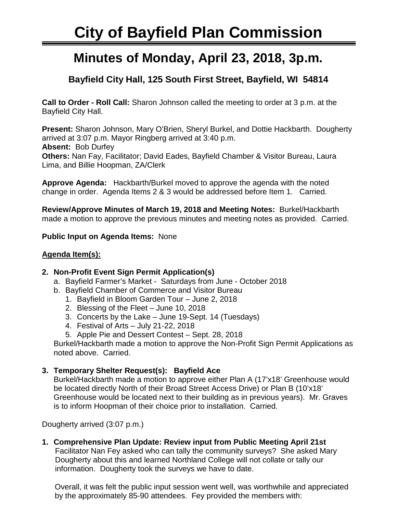# **City of Bayfield Plan Commission**

## **Minutes of Monday, April 23, 2018, 3p.m.**

### **Bayfield City Hall, 125 South First Street, Bayfield, WI 54814**

**Call to Order - Roll Call:** Sharon Johnson called the meeting to order at 3 p.m. at the Bayfield City Hall.

**Present:** Sharon Johnson, Mary O'Brien, Sheryl Burkel, and Dottie Hackbarth. Dougherty arrived at 3:07 p.m. Mayor Ringberg arrived at 3:40 p.m. **Absent:** Bob Durfey **Others:** Nan Fay, Facilitator; David Eades, Bayfield Chamber & Visitor Bureau, Laura Lima, and Billie Hoopman, ZA/Clerk

**Approve Agenda:** Hackbarth/Burkel moved to approve the agenda with the noted change in order. Agenda Items 2 & 3 would be addressed before Item 1. Carried.

**Review/Approve Minutes of March 19, 2018 and Meeting Notes:** Burkel/Hackbarth made a motion to approve the previous minutes and meeting notes as provided. Carried.

**Public Input on Agenda Items:** None

#### **Agenda Item(s):**

#### **2. Non-Profit Event Sign Permit Application(s)**

- a. Bayfield Farmer's Market Saturdays from June October 2018
- b. Bayfield Chamber of Commerce and Visitor Bureau
	- 1. Bayfield in Bloom Garden Tour June 2, 2018
	- 2. Blessing of the Fleet June 10, 2018
	- 3. Concerts by the Lake June 19-Sept. 14 (Tuesdays)
	- 4. Festival of Arts July 21-22, 2018
	- 5. Apple Pie and Dessert Contest Sept. 28, 2018

Burkel/Hackbarth made a motion to approve the Non-Profit Sign Permit Applications as noted above. Carried.

#### **3. Temporary Shelter Request(s): Bayfield Ace**

Burkel/Hackbarth made a motion to approve either Plan A (17'x18' Greenhouse would be located directly North of their Broad Street Access Drive) or Plan B (10'x18' Greenhouse would be located next to their building as in previous years). Mr. Graves is to inform Hoopman of their choice prior to installation. Carried.

Dougherty arrived (3:07 p.m.)

**1. Comprehensive Plan Update: Review input from Public Meeting April 21st** Facilitator Nan Fey asked who can tally the community surveys? She asked Mary Dougherty about this and learned Northland College will not collate or tally our information. Dougherty took the surveys we have to date.

Overall, it was felt the public input session went well, was worthwhile and appreciated by the approximately 85-90 attendees. Fey provided the members with: